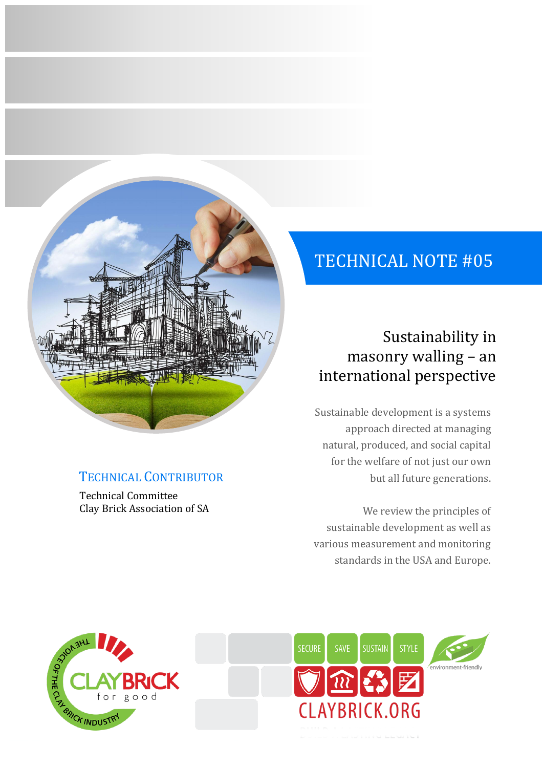# TECHNICAL NOTE #05

# Sustainability in masonry walling – an international perspective

Sustainable development is a systems approach directed at managing natural, produced, and social capital for the welfare of not just our own but all future generations.

We review the principles of sustainable development as well as various measurement and monitoring standards in the USA and Europe.



TECHNICAL CONTRIBUTOR

Clay Brick Association of SA

Technical Committee

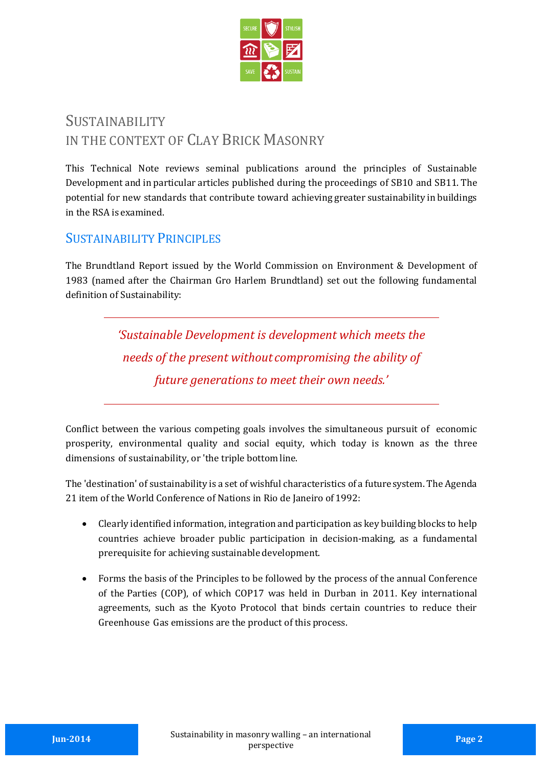

## **SUSTAINABILITY** IN THE CONTEXT OF CLAY BRICK MASONRY

This Technical Note reviews seminal publications around the principles of Sustainable Development and in particular articles published during the proceedings of SB10 and SB11. The potential for new standards that contribute toward achieving greater sustainability in buildings in the RSA is examined.

#### SUSTAINABILITY PRINCIPLES

The Brundtland Report issued by the World Commission on Environment & Development of 1983 (named after the Chairman Gro Harlem Brundtland) set out the following fundamental definition of Sustainability:

> *'Sustainable Development is development which meets the needs of the present without compromising the ability of future generations to meet their own needs.'*

Conflict between the various competing goals involves the simultaneous pursuit of economic prosperity, environmental quality and social equity, which today is known as the three dimensions of sustainability, or 'the triple bottom line.

The 'destination' of sustainability is a set of wishful characteristics of a futuresystem. The Agenda 21 item of the World Conference of Nations in Rio de Janeiro of 1992:

- Clearly identified information, integration and participation as key building blocks to help countries achieve broader public participation in decision-making, as a fundamental prerequisite for achieving sustainable development.
- Forms the basis of the Principles to be followed by the process of the annual Conference of the Parties (COP), of which COP17 was held in Durban in 2011. Key international agreements, such as the Kyoto Protocol that binds certain countries to reduce their Greenhouse Gas emissions are the product of this process.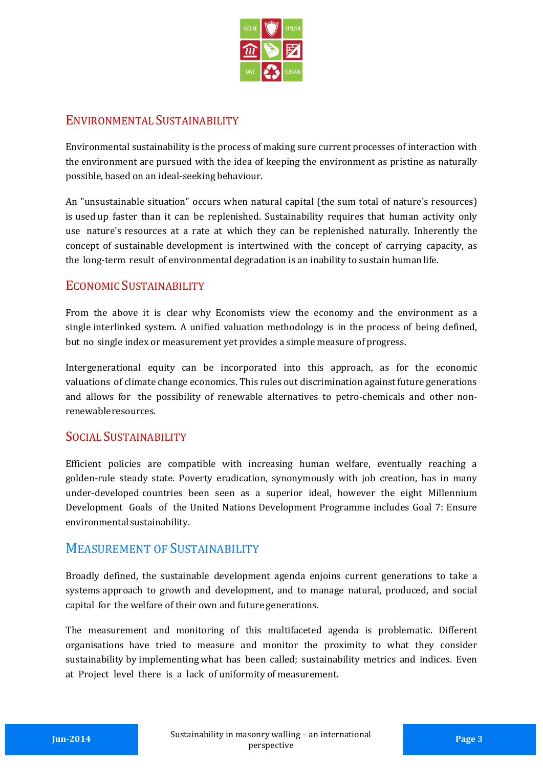

#### ENVIRONMENTAL SUSTAINABILITY

Environmental sustainability is the process of making sure current processes of interaction with the environment are pursued with the idea of keeping the environment as pristine as naturally possible, based on an ideal-seeking behaviour.

An "unsustainable situation" occurs when natural capital (the sum total of nature's resources) is used up faster than it can be replenished. Sustainability requires that human activity only use nature's resources at a rate at which they can be replenished naturally. Inherently the concept of sustainable development is intertwined with the concept of carrying capacity, as the long-term result of environmental degradation is an inability to sustain humanlife.

#### ECONOMIC SUSTAINABILITY

From the above it is clear why Economists view the economy and the environment as a single interlinked system. A unified valuation methodology is in the process of being defined, but no single index or measurement yet provides a simple measure of progress.

Intergenerational equity can be incorporated into this approach, as for the economic valuations of climate change economics. This rules out discrimination against future generations and allows for the possibility of renewable alternatives to petro-chemicals and other nonrenewableresources.

#### SOCIAL SUSTAINABILITY

Efficient policies are compatible with increasing human welfare, eventually reaching a golden-rule steady state. Poverty eradication, synonymously with job creation, has in many under-developed countries been seen as a superior ideal, however the eight Millennium Development Goals of the United Nations Development Programme includes Goal 7: Ensure environmentalsustainability.

#### MEASUREMENT OF SUSTAINABILITY

Broadly defined, the sustainable development agenda enjoins current generations to take a systems approach to growth and development, and to manage natural, produced, and social capital for the welfare of their own and future generations.

The measurement and monitoring of this multifaceted agenda is problematic. Different organisations have tried to measure and monitor the proximity to what they consider sustainability by implementing what has been called; sustainability metrics and indices. Even at Project level there is a lack of uniformity of measurement.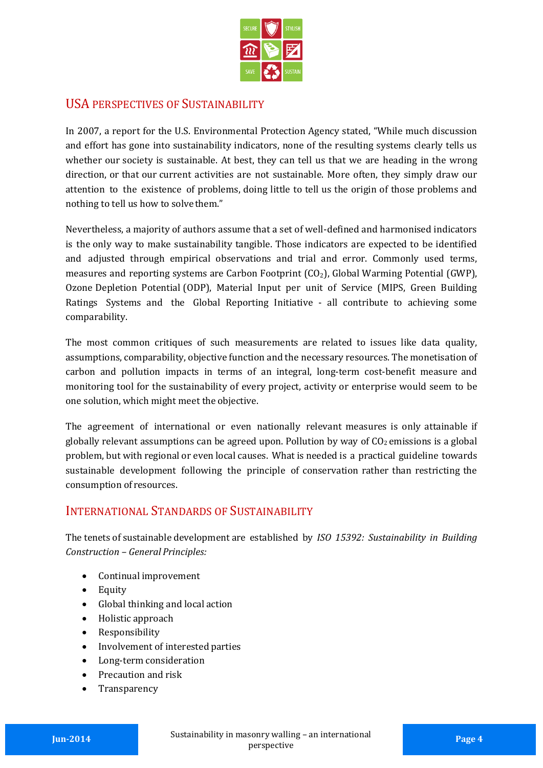

#### USA PERSPECTIVES OF SUSTAINABILITY

In 2007, a report for the U.S. Environmental Protection Agency stated, "While much discussion and effort has gone into sustainability indicators, none of the resulting systems clearly tells us whether our society is sustainable. At best, they can tell us that we are heading in the wrong direction, or that our current activities are not sustainable. More often, they simply draw our attention to the existence of problems, doing little to tell us the origin of those problems and nothing to tell us how to solvethem."

Nevertheless, a majority of authors assume that a set of well-defined and harmonised indicators is the only way to make sustainability tangible. Those indicators are expected to be identified and adjusted through empirical observations and trial and error. Commonly used terms, measures and reporting systems are Carbon Footprint  $(CO<sub>2</sub>)$ , Global Warming Potential (GWP), Ozone Depletion Potential (ODP), Material Input per unit of Service (MIPS, Green Building Ratings Systems and the Global Reporting Initiative - all contribute to achieving some comparability.

The most common critiques of such measurements are related to issues like data quality, assumptions, comparability, objective function and the necessary resources. The monetisation of carbon and pollution impacts in terms of an integral, long-term cost-benefit measure and monitoring tool for the sustainability of every project, activity or enterprise would seem to be one solution, which might meet the objective.

The agreement of international or even nationally relevant measures is only attainable if globally relevant assumptions can be agreed upon. Pollution by way of  $CO<sub>2</sub>$  emissions is a global problem, but with regional or even local causes. What is needed is a practical guideline towards sustainable development following the principle of conservation rather than restricting the consumption of resources.

#### INTERNATIONAL STANDARDS OF SUSTAINABILITY

The tenets of sustainable development are established by *ISO 15392: Sustainability in Building Construction – General Principles:*

- Continual improvement
- Equity
- Global thinking and local action
- Holistic approach
- Responsibility
- Involvement of interested parties
- Long-term consideration
- Precaution and risk
- Transparency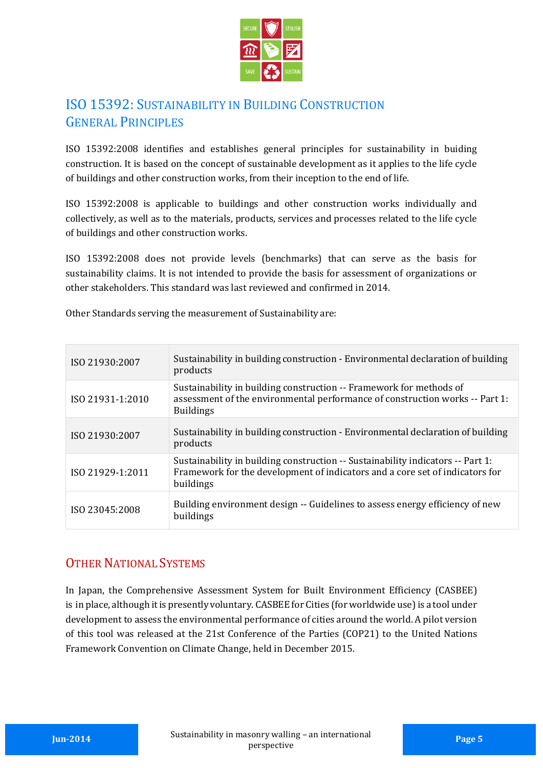

### ISO 15392: SUSTAINABILITY IN BUILDING CONSTRUCTION GENERAL PRINCIPLES

ISO 15392:2008 identifies and establishes general principles for sustainability in buiding construction. It is based on the concept of sustainable development as it applies to the life cycle of buildings and other construction works, from their inception to the end of life.

ISO 15392:2008 is applicable to buildings and other construction works individually and collectively, as well as to the materials, products, services and processes related to the life cycle of buildings and other construction works.

ISO 15392:2008 does not provide levels (benchmarks) that can serve as the basis for sustainability claims. It is not intended to provide the basis for assessment of organizations or other stakeholders. This standard was last reviewed and confirmed in 2014.

Other Standards serving the measurement of Sustainability are:

| ISO 21930:2007   | Sustainability in building construction - Environmental declaration of building<br>products                                                                                  |
|------------------|------------------------------------------------------------------------------------------------------------------------------------------------------------------------------|
| ISO 21931-1:2010 | Sustainability in building construction -- Framework for methods of<br>assessment of the environmental performance of construction works -- Part 1:<br><b>Buildings</b>      |
| ISO 21930:2007   | Sustainability in building construction - Environmental declaration of building<br>products                                                                                  |
| ISO 21929-1:2011 | Sustainability in building construction -- Sustainability indicators -- Part 1:<br>Framework for the development of indicators and a core set of indicators for<br>buildings |
| ISO 23045:2008   | Building environment design -- Guidelines to assess energy efficiency of new<br>buildings                                                                                    |

#### OTHER NATIONAL SYSTEMS

In Japan, the Comprehensive Assessment System for Built Environment Efficiency (CASBEE) is in place, although it is presentlyvoluntary. CASBEE for Cities (for worldwide use) is a tool under development to assess the environmental performance of cities around the world. A pilot version of this tool was released at the 21st Conference of the Parties (COP21) to the United Nations Framework Convention on Climate Change, held in December 2015.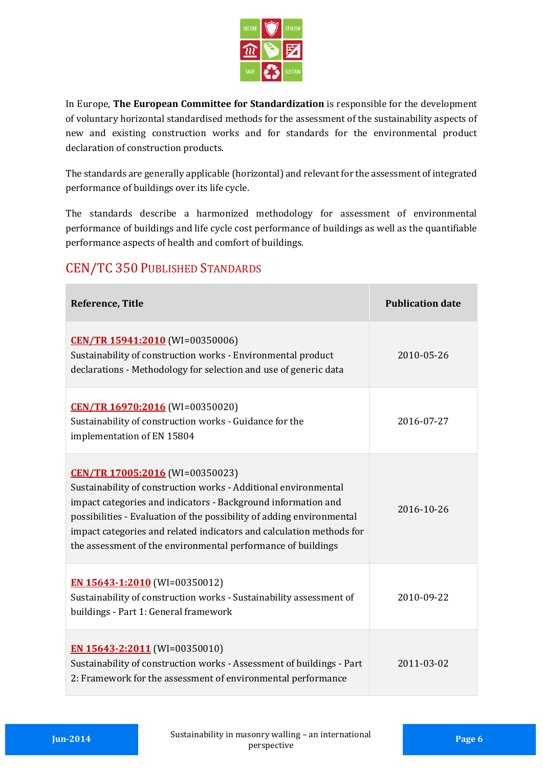

In Europe, **The European Committee for Standardization** is responsible for the development of voluntary horizontal standardised methods for the assessment of the sustainability aspects of new and existing construction works and for standards for the environmental product declaration of construction products.

The standards are generally applicable (horizontal) and relevant for the assessment of integrated performance of buildings over its life cycle.

The standards describe a harmonized methodology for assessment of environmental performance of buildings and life cycle cost performance of buildings as well as the quantifiable performance aspects of health and comfort of buildings.

| <b>Reference, Title</b>                                                                                                                                                                                                                                                                                                                                                              | <b>Publication date</b> |
|--------------------------------------------------------------------------------------------------------------------------------------------------------------------------------------------------------------------------------------------------------------------------------------------------------------------------------------------------------------------------------------|-------------------------|
| CEN/TR 15941:2010 (WI=00350006)<br>Sustainability of construction works - Environmental product<br>declarations - Methodology for selection and use of generic data                                                                                                                                                                                                                  | 2010-05-26              |
| CEN/TR 16970:2016 (WI=00350020)<br>Sustainability of construction works - Guidance for the<br>implementation of EN 15804                                                                                                                                                                                                                                                             | 2016-07-27              |
| CEN/TR 17005:2016 (WI=00350023)<br>Sustainability of construction works - Additional environmental<br>impact categories and indicators - Background information and<br>possibilities - Evaluation of the possibility of adding environmental<br>impact categories and related indicators and calculation methods for<br>the assessment of the environmental performance of buildings | 2016-10-26              |
| EN 15643-1:2010 (WI=00350012)<br>Sustainability of construction works - Sustainability assessment of<br>buildings - Part 1: General framework                                                                                                                                                                                                                                        | 2010-09-22              |
| EN 15643-2:2011 (WI=00350010)<br>Sustainability of construction works - Assessment of buildings - Part<br>2: Framework for the assessment of environmental performance                                                                                                                                                                                                               | 2011-03-02              |

### CEN/TC 350 PUBLISHED STANDARDS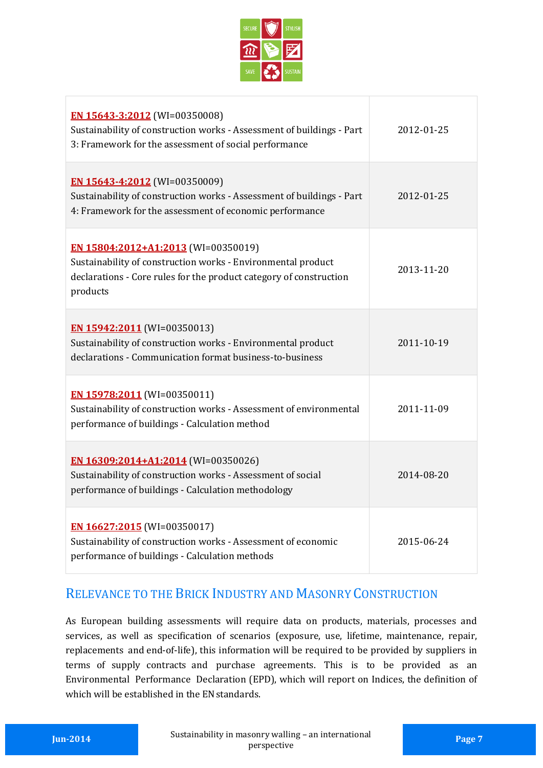

| EN 15643-3:2012 (WI=00350008)<br>Sustainability of construction works - Assessment of buildings - Part<br>3: Framework for the assessment of social performance                       | 2012-01-25 |
|---------------------------------------------------------------------------------------------------------------------------------------------------------------------------------------|------------|
| <b>EN 15643-4:2012</b> (WI=00350009)<br>Sustainability of construction works - Assessment of buildings - Part<br>4: Framework for the assessment of economic performance              | 2012-01-25 |
| EN 15804:2012+A1:2013 (WI=00350019)<br>Sustainability of construction works - Environmental product<br>declarations - Core rules for the product category of construction<br>products | 2013-11-20 |
| EN 15942:2011 (WI=00350013)<br>Sustainability of construction works - Environmental product<br>declarations - Communication format business-to-business                               | 2011-10-19 |
| EN 15978:2011 (WI=00350011)<br>Sustainability of construction works - Assessment of environmental<br>performance of buildings - Calculation method                                    | 2011-11-09 |
| EN 16309:2014+A1:2014 (WI=00350026)<br>Sustainability of construction works - Assessment of social<br>performance of buildings - Calculation methodology                              | 2014-08-20 |
| EN 16627:2015 (WI=00350017)<br>Sustainability of construction works - Assessment of economic<br>performance of buildings - Calculation methods                                        | 2015-06-24 |

#### RELEVANCE TO THE BRICK INDUSTRY AND MASONRY CONSTRUCTION

As European building assessments will require data on products, materials, processes and services, as well as specification of scenarios (exposure, use, lifetime, maintenance, repair, replacements and end-of-life), this information will be required to be provided by suppliers in terms of supply contracts and purchase agreements. This is to be provided as an Environmental Performance Declaration (EPD), which will report on Indices, the definition of which will be established in the EN standards.